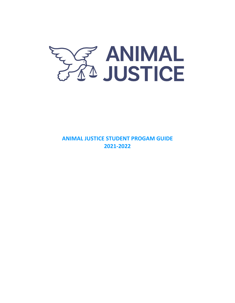

**ANIMAL JUSTICE STUDENT PROGAM GUIDE 2021-2022**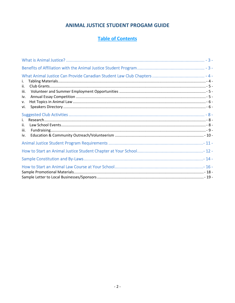## ANIMAL JUSTICE STUDENT PROGAM GUIDE

# **Table of Contents**

| i.<br>ii.<br>iii.<br>iv.<br>v.<br>vi. |  |
|---------------------------------------|--|
| i.<br>ii.<br>iii.<br>iv.              |  |
|                                       |  |
|                                       |  |
|                                       |  |
|                                       |  |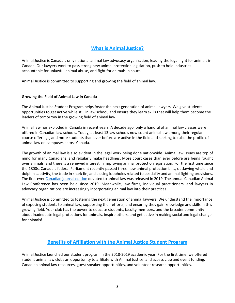## **What is Animal Justice?**

Animal Justice is Canada's only national animal law advocacy organization, leading the legal fight for animals in Canada. Our lawyers work to pass strong new animal protection legislation, push to hold industries accountable for unlawful animal abuse, and fight for animals in court.

Animal Justice is committed to supporting and growing the field of animal law.

#### **Growing the Field of Animal Law in Canada**

The Animal Justice Student Program helps foster the next generation of animal lawyers. We give students opportunities to get active while still in law school, and ensure they learn skills that will help them become the leaders of tomorrow in the growing field of animal law.

Animal law has exploded in Canada in recent years. A decade ago, only a handful of animal law classes were offered in Canadian law schools. Today, at least 13 law schools now count animal law among their regular course offerings, and more students than ever before are active in the field and seeking to raise the profile of animal law on campuses across Canada.

The growth of animal law is also evident in the legal work being done nationwide. Animal law issues are top of mind for many Canadians, and regularly make headlines. More court cases than ever before are being fought over animals, and there is a renewed interest in improving animal protection legislation. For the first time since the 1800s, Canada's federal Parliament recently passed three new animal protection bills, outlawing whale and dolphin captivity, the trade in shark fin, and closing loopholes related to bestiality and animal fighting provisions. The first-eve[r Canadian journal edition](http://www.cjccl.ca/animal-law/) devoted to animal law was released in 2019. The annual Canadian Animal Law Conference has been held since 2019. Meanwhile, law firms, individual practitioners, and lawyers in advocacy organizations are increasingly incorporating animal law into their practices.

Animal Justice is committed to fostering the next generation of animal lawyers. We understand the importance of exposing students to animal law, supporting their efforts, and ensuring they gain knowledge and skills in this growing field. Your club has the power to educate students, faculty members, and the broader community about inadequate legal protections for animals, inspire others, and get active in making social and legal change for animals!

### **Benefits of Affiliation with the Animal Justice Student Program**

Animal Justice launched our student program in the 2018-2019 academic year. For the first time, we offered student animal law clubs an opportunity to affiliate with Animal Justice, and access club and event funding, Canadian animal law resources, guest speaker opportunities, and volunteer research opportunities.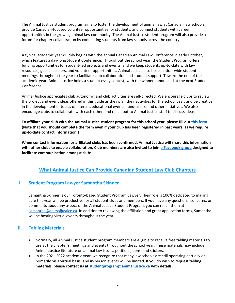The Animal Justice student program aims to foster the development of animal law at Canadian law schools, provide Canadian-focused volunteer opportunities for students, and connect students with career opportunities in the growing animal law community. The Animal Justice student program will also provide a forum for chapter collaboration by connecting students from law schools across the country.

A typical academic year quickly begins with the annual Canadian Animal Law Conference in early October, which features a day-long Student Conference. Throughout the school year, the Student Program offers funding opportunities for student-led projects and events, and we keep students up-to-date with law resources, guest speakers, and volunteer opportunities. Animal Justice also hosts nation-wide student meetings throughout the year to facilitate club collaboration and student support. Toward the end of the academic year, Animal Justice holds a student essay contest, with the winner announced at the next Student Conference.

Animal Justice appreciates club autonomy, and club activities are self-directed. We encourage clubs to review the project and event ideas offered in this guide as they plan their activities for the school year, and be creative in the development of topics of interest, educational events, fundraisers, and other initiatives. We also encourage clubs to collaborate with each other, and reach out to Animal Justice staff to discuss ideas.

**To affiliate your club with the Animal Justice student program for this school year, please fill ou[t this form.](https://docs.google.com/forms/d/1BUMB21eeBY5zR7foAVzSftHLuTt_a_fG_vDQUEMNvyA) (Note that you should complete the form even if your club has been registered in past years, as we require up-to-date contact information.)**

**When contact information for affiliated clubs has been confirmed, Animal Justice will share this information with other clubs to enable collaboration. Club members are also invited to join [a Facebook group](https://www.facebook.com/groups/292382741538833/) designed to facilitate communication amongst clubs.**

## **What Animal Justice Can Provide Canadian Student Law Club Chapters**

### **i. Student Program Lawyer Samantha Skinner**

Samantha Skinner is our Toronto-based Student Program Lawyer. Their role is 100% dedicated to making sure this year will be productive for all student clubs and members. If you have any questions, concerns, or comments about any aspect of the Animal Justice Student Program, you can reach them at [samantha@animaljustice.ca.](mailto:samantha@animaljustice.ca) In addition to reviewing the affiliation and grant application forms, Samantha will be hosting virtual events throughout the year.

### **ii. Tabling Materials**

- Normally, all Animal Justice student program members are eligible to receive free tabling materials to use at the chapter's meetings and events throughout the school year. These materials may include Animal Justice literature on animal law issues, petitions, pens, and stickers.
- In the 2021-2022 academic year, we recognize that many law schools are still operating partially or primarily on a virtual basis, and in-person events will be limited. If you do wish to request tabling materials, **please contact us at [studentprogram@animaljustice.ca](mailto:studentprogram@animaljustice.ca) with details.**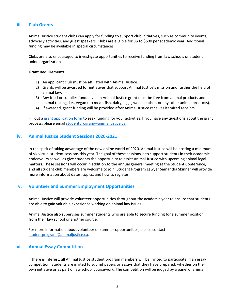### **iii. Club Grants**

Animal Justice student clubs can apply for funding to support club initiatives, such as community events, advocacy activities, and guest speakers. Clubs are eligible for up to \$500 per academic year. Additional funding may be available in special circumstances.

Clubs are also encouraged to investigate opportunities to receive funding from law schools or student union organizations.

#### **Grant Requirements:**

- 1) An applicant club must be affiliated with Animal Justice.
- 2) Grants will be awarded for initiatives that support Animal Justice's mission and further the field of animal law.
- 3) Any food or supplies funded via an Animal Justice grant must be free from animal products and animal testing, i.e., vegan (no meat, fish, dairy, eggs, wool, leather, or any other animal products).
- 4) If awarded, grant funding will be provided after Animal Justice receives itemized receipts.

Fill out a [grant application form](http://docs.google.com/forms/d/1ATtv67lc2AHvY48-Ay7CqhKKqY59y_Ewr6wHAovD5gM) to seek funding for your activities. If you have any questions about the grant process, please email [studentprogram@animaljustice.ca.](mailto:studentprogram@animaljustice.ca)

### **iv. Animal Justice Student Sessions 2020-2021**

In the spirit of taking advantage of the new online world of 2020, Animal Justice will be hosting a minimum of six virtual student sessions this year. The goal of these sessions is to support students in their academic endeavours as well as give students the opportunity to assist Animal Justice with upcoming animal legal matters. These sessions will occur in addition to the annual general meeting at the Student Conference, and all student club members are welcome to join. Student Program Lawyer Samantha Skinner will provide more information about dates, topics, and how to register.

### **v. Volunteer and Summer Employment Opportunities**

Animal Justice will provide volunteer opportunities throughout the academic year to ensure that students are able to gain valuable experience working on animal law issues.

Animal Justice also supervises summer students who are able to secure funding for a summer position from their law school or another source.

For more information about volunteer or summer opportunities, please contact [studentprogram@animaljustice.ca.](mailto:studentprogram@animaljustice.ca)

### **vi. Annual Essay Competition**

If there is interest, all Animal Justice student program members will be invited to participate in an essay competition. Students are invited to submit papers or essays that they have prepared, whether on their own initiative or as part of law school coursework. The competition will be judged by a panel of animal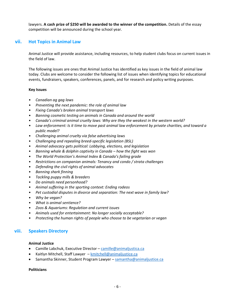lawyers. **A cash prize of \$250 will be awarded to the winner of the competition.** Details of the essay competition will be announced during the school year.

### **vii. Hot Topics in Animal Law**

Animal Justice will provide assistance, including resources, to help student clubs focus on current issues in the field of law.

The following issues are ones that Animal Justice has identified as key issues in the field of animal law today. Clubs are welcome to consider the following list of issues when identifying topics for educational events, fundraisers, speakers, conferences, panels, and for research and policy writing purposes.

#### **Key Issues**

- *Canadian ag gag laws*
- *Preventing the next pandemic: the role of animal law*
- *Fixing Canada's broken animal transport laws*
- *Banning cosmetic testing on animals in Canada and around the world*
- *Canada's criminal animal cruelty laws: Why are they the weakest in the western world?*
- *Law enforcement: Is it time to move past animal law enforcement by private charities, and toward a public model?*
- *Challenging animal cruelty via false advertising laws*
- *Challenging and repealing breed-specific legislation (BSL)*
- *Animal advocacy gets political: Lobbying, elections, and legislation*
- *Banning whale & dolphin captivity in Canada – how the fight was won*
- *The World Protection's Animal Index & Canada's failing grade*
- *Restrictions on companion animals: Tenancy and condo / strata challenges*
- *Defending the civil rights of animal advocates*
- *Banning shark finning*
- *Tackling puppy mills & breeders*
- *Do animals need personhood?*
- *Animal suffering in the sporting context: Ending rodeos*
- *Pet custodial disputes in divorce and separation: The next wave in family law?*
- *Why be vegan?*
- *What is animal sentience?*
- *Zoos & Aquariums: Regulation and current issues*
- *Animals used for entertainment: No longer socially acceptable?*
- *Protecting the human rights of people who choose to be vegetarian or vegan*

### **viii. Speakers Directory**

#### **Animal Justice**

- Camille Labchuk, Executive Director [camille@animaljustica.ca](mailto:camille@animaljustica.ca)
- Kaitlyn Mitchell, Staff Lawyer [kmitchell@animaljustice.ca](mailto:kmitchell@animaljustice.ca)
- Samantha Skinner, Student Program Lawyer [samantha@animaljustice.ca](mailto:samantha@animaljustice.ca)

#### **Politicians**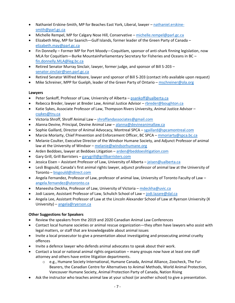- Nathaniel Erskine-Smith, MP for Beaches East York, Liberal, lawyer [nathaniel.erskine](mailto:nathaniel.erskine-smith@parl.gc.ca)[smith@parl.gc.ca](mailto:nathaniel.erskine-smith@parl.gc.ca)
- Michelle Rempel, MP for Calgary Nose Hill, Conservative [michelle.rempel@parl.gc.ca](mailto:michelle.rempel@parl.gc.ca)
- Elizabeth May, MP for Saanich—Gulf Islands, former leader of the Green Party of Canada [elizabeth.may@parl.gc.ca](mailto:elizabeth.may@parl.gc.ca)
- Fin Donnelly Former MP for Port Moody Coquitlam, sponsor of anti-shark finning legislation, now MLA for Coquitlam—Burke MountainParliamentary Secretary for Fisheries and Oceans in BC – [fin.donnelly.MLA@leg.bc.ca](mailto:fin.donnelly.MLA@leg.bc.ca)
- Retired Senator Murray Sinclair, lawyer, former judge, and sponsor of Bill S-203 [senator.sinclair@sen.parl.gc.ca](mailto:senator.sinclair@sen.parl.gc.ca)
- Retired Senator Wilfred Moore, lawyer and sponsor of Bill S-203 (contact info available upon request)
- Mike Schreiner, MPP for Guelph, leader of the Green Party of Ontario [mschreiner@ola.org](mailto:admin@gpo.ca)

### **Lawyers**

- Peter Sankoff, Professor of Law, University of Alberta [psankoff@ualberta.ca](mailto:psankoff@ualberta.ca)
- Rebecca Breder, lawyer at Breder Law, Animal Justice Advisor [rbreder@boughton.ca](mailto:rbreder@boughton.ca)
- Katie Sykes, Associate Professor of Law, Thompson Rivers University, Animal Justice Advisor [csykes@tru.ca](mailto:csykes@tru.ca)
- Victoria Shroff, Shroff Animal Law [shroffandassociates@gmail.com](mailto:shroffandassociates@gmail.com)
- Alanna Devine, Principal, Devine Animal Law [alanna@devineanimallaw.ca](mailto:alanna@devineanimallaw.ca)
- Sophie Gaillard, Director of Animal Advocacy, Montreal SPCA [sgaillard@spcamontreal.com](mailto:sgaillard@spcamontreal.com)
- Marcie Moriarty, Chief Prevention and Enforcement Officer, BC SPCA [mmoriarty@spca.bc.ca](mailto:mmoriarty@spca.bc.ca)
- Melanie Coulter, Executive Director of the Windsor Humane Society, and Adjunct Professor of animal law at the University of Windsor – [melanie@windsorhumane.org](mailto:melanie@windsorhumane.org)
- Arden Beddoes, lawyer at Beddoes Litigation [arden@beddoeslitigation.com](mailto:arden@beddoeslitigation.com)
- Gary Grill, Grill Barristers [garygrill@grillbarristers.com](mailto:garygrill@grillbarristers.com)
- Jessica Eisen Assistant Professor of Law, University of Alberta [jeisen@ualberta.ca](mailto:jeisen@ualberta.ca)
- Lesli Bisgould, Canada's first animal rights lawyer, adjunct professor of animal law at the University of Toronto – [bisgould@idirect.com](mailto:bisgould@idirect.com)
- Angela Fernandez, Professor of Law, professor of animal law, University of Toronto Faculty of Law [angela.fernandez@utoronto.ca](mailto:angela.fernandez@utoronto.ca)
- Maneesha Deckha, Professor of Law, University of Victoria [mdeckha@uvic.ca](mailto:mdeckha@uvic.ca)
- Jodi Lazare, Assistant Professor of Law, Schulich School of Law [jodi.lazare@dal.ca](mailto:jodi.lazare@dal.ca)
- Angela Lee, Assistant Professor of Law at the Lincoln Alexander School of Law at Ryerson University (X University) – [angela@ryerson.ca](mailto:angela@ryerson.ca)

### **Other Suggestions for Speakers**

- Review the speakers from the 2019 and 2020 Canadian Animal Law Conferences
- Contact local humane societies or animal rescue organization—they often have lawyers who assist with legal matters, or staff that are knowledgeable about animal issues
- Invite a local prosecutor to give a presentation about investigating and prosecuting animal cruelty offences
- Invite a defence lawyer who defends animal advocates to speak about their work.
- Contact a local or national animal rights organization many groups now have at least one staff attorney and others have entire litigation departments.
	- o e.g., Humane Society International, Humane Canada, Animal Alliance, Zoocheck, The Fur-Bearers, the Canadian Centre for Alternatives to Animal Methods, World Animal Protection, Vancouver Humane Society, Animal Protection Party of Canada, Nation Rising
- Ask the instructor who teaches animal law at your school (or another school) to give a presentation.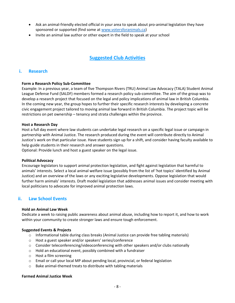- Ask an animal-friendly elected official in your area to speak about pro-animal legislation they have sponsored or supported (find some at [www.votersforanimals.ca\)](http://www.votersforanimals.ca/)
- Invite an animal law author or other expert in the field to speak at your school

## **Suggested Club Activities**

### **i. Research**

#### **Form a Research Policy Sub-Committee**

Example: In a previous year, a team of five Thompson Rivers (TRU) Animal Law Advocacy (TALA) Student Animal League Defense Fund (SALDF) members formed a research policy sub-committee. The aim of the group was to develop a research project that focused on the legal and policy implications of animal law in British Columbia. In the coming new year, the group hopes to further their specific research interests by developing a concrete civic engagement project tailored to moving animal law forward in British Columbia. The project topic will be restrictions on pet ownership – tenancy and strata challenges within the province.

#### **Host a Research Day**

Host a full day event where law students can undertake legal research on a specific legal issue or campaign in partnership with Animal Justice. The research produced during the event will contribute directly to Animal Justice's work on that particular issue. Have students sign up for a shift, and consider having faculty available to help guide students in their research and answer questions.

Optional: Provide lunch and host a guest speaker on the legal issue.

#### **Political Advocacy**

Encourage legislators to support animal protection legislation, and fight against legislation that harmful to animals' interests. Select a local animal welfare issue (possibly from the list of 'hot topics' identified by Animal Justice) and an overview of the laws or any exciting legislative developments. Oppose legislation that would further harm animals' interests. Draft model legislation that addresses animal issues and consider meeting with local politicians to advocate for improved animal protection laws.

### **ii. Law School Events**

#### **Hold an Animal Law Week**

Dedicate a week to raising public awareness about animal abuse, including how to report it, and how to work within your community to create stronger laws and ensure tough enforcement.

#### **Suggested Events & Projects**

- $\circ$  Informational table during class breaks (Animal Justice can provide free tabling materials)
- o Host a guest speaker and/or speakers' series/conference
- $\circ$  Consider teleconferencing/videoconferencing with other speakers and/or clubs nationally
- o Hold an educational event, possibly combined with a fundraiser
- o Host a film screening
- o Email or call your local MP about pending local, provincial, or federal legislation
- o Bake animal-themed treats to distribute with tabling materials

#### **Farmed Animal Justice Week**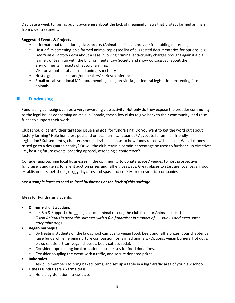Dedicate a week to raising public awareness about the lack of [meaningful](http://aldf.org/resources/advocating-for-animals/farmed-animals-and-the-law/) laws that protect farmed animals from cruel treatment.

### **Suggested Events & Projects**

- $\circ$  Informational table during class breaks (Animal Justice can provide free tabling materials)
- $\circ$  Host a film [screening](http://aldf.org/?p=24617) on a farmed animal topic (see list of suggested documentaries for options, e.g., *Death on a Factory Farm* about a case involving criminal anti-cruelty charges brought against a pig farmer, or team up with the Environmental Law Society and show *Cowspiracy*, about the environmental impacts of factory farming.
- o Visit or volunteer at a farmed animal sanctuary
- o Host a guest speaker and/or speakers' series/conference
- o Email or call your local MP about pending local, provincial, or federal legislation protecting farmed animals

### **iii. Fundraising**

Fundraising campaigns can be a very rewarding club activity. Not only do they expose the broader community to the legal issues concerning animals in Canada, they allow clubs to give back to their community, and raise funds to support their work.

Clubs should identify their targeted issue and goal for fundraising. Do you want to get the word out about factory farming? Help homeless pets and or local farm sanctuaries? Advocate for animal-friendly legislation? Subsequently, chapters should devise a plan as to how funds raised will be used. Will all money raised go to a designated charity? Or will the club retain a certain percentage be used to further club directives i.e., hosting future events, ordering apparel, attending a conference?

Consider approaching local businesses in the community to donate space / venues to host prospective fundraisers and items for silent auction prizes and raffle giveaways. Great places to start are local vegan food establishments, pet shops, doggy daycares and spas, and cruelty-free cosmetics companies.

#### *See a sample letter to send to local businesses at the back of this package.*

#### **Ideas for Fundraising Events:**

- **Dinner + silent auctions**
	- $\circ$  i.e. Sip & Support (the  $\equiv$  e.g., a local animal rescue, the club itself, or Animal Justice) *"Help Animals in need this summer with a fun fundraiser in support of \_\_. Join us and meet some adoptable dogs."*
- **Vegan barbeque**
	- o By treating students on the law school campus to vegan food, beer, and raffle prizes, your chapter can raise funds while helping nurture compassion for farmed animals. (Options: vegan burgers, hot dogs, pizza, salads, artisan vegan cheeses, beer, coffee, soda).
	- o Consider approaching local or national businesses for food donations.
	- o Consider coupling the event with a raffle, and secure donated prizes.
- **Bake sales**
	- o Ask club members to bring baked items, and set up a table in a high-traffic area of your law school.
- **Fitness fundraisers / karma class**
	- o Hold a by-donation fitness class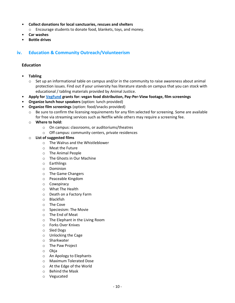- **Collect donations for local sanctuaries, rescues and shelters**
	- o Encourage students to donate food, blankets, toys, and money.
- **Car washes**
- **Bottle drives**

### **iv. Education & Community Outreach/Volunteerism**

#### **Education**

- **Tabling**
	- $\circ$  Set up an informational table on campus and/or in the community to raise awareness about animal protection issues. Find out if your university has literature stands on campus that you can stock with educational / tabling materials provided by Animal Justice.
- **Apply fo[r VegFund](http://www.vegfund.org/) grants for: vegan food distribution, Pay-Per-View footage, film screenings**
- **Organize lunch hour speakers** (option: lunch provided)
- **Organize film screenings** (option: food/snacks provided)
	- $\circ$  Be sure to confirm the licensing requirements for any film selected for screening. Some are available for free via streaming services such as Netflix while others may require a screening fee.
	- o **Where to hold:**
		- o On campus: classrooms, or auditoriums/theatres
		- o Off campus: community centers, private residences
	- o **List of suggested films**
		- o The Walrus and the Whistleblower
		- o Meat the Future
		- o The Animal People
		- o The Ghosts in Our Machine
		- o Earthlings
		- o Dominion
		- o The Game Changers
		- o Peaceable Kingdom
		- o Cowspiracy
		- o What The Health
		- o Death on a Factory Farm
		- o Blackfish
		- o The Cove
		- o Speciesism: The Movie
		- o The End of Meat
		- o The Elephant in the Living Room
		- o Forks Over Knives
		- o Sled Dogs
		- o Unlocking the Cage
		- o Sharkwater
		- o The Paw Project
		- o Okja
		- o An Apology to Elephants
		- o Maximum Tolerated Dose
		- o At the Edge of the World
		- o Behind the Mask
		- o Vegucated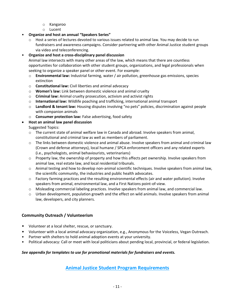- o Kangaroo
- o Lucent
- **Organize and host an annual "Speakers Series"**
	- o Host a series of lectures devoted to various issues related to animal law. You may decide to run fundraisers and awareness campaigns. Consider partnering with other Animal Justice student groups via video and teleconferencing.

### • **Organize and host a cross-disciplinary panel discussion**

Animal law intersects with many other areas of the law, which means that there are countless opportunities for collaboration with other student groups, organizations, and legal professionals when seeking to organize a speaker panel or other event. For example:

- o **Environmental law:** Industrial farming, water / air pollution, greenhouse gas emissions, species extinction
- o **Constitutional law:** Civil liberties and animal advocacy
- o **Women's law:** Link between domestic violence and animal cruelty
- o **Criminal law:** Animal cruelty prosecution, activism and activist rights
- o **International law:** Wildlife poaching and trafficking, international animal transport
- o **Landlord & tenant law:** Housing disputes involving "no pets" policies, discrimination against people with companion animals
- o **Consumer protection law:** False advertising, food safety

### • **Host an animal law panel discussion**

Suggested Topics:

- o The current state of animal welfare law in Canada and abroad. Involve speakers from animal, constitutional and criminal law as well as members of parliament.
- $\circ$  The links between domestic violence and animal abuse. Involve speakers from animal and criminal law (Crown and defense attorneys), local humane / SPCA enforcement officers and any related experts (i.e., psychologists, animal behaviourists, veterinarians)
- $\circ$  Property law, the ownership of property and how this affects pet ownership. Involve speakers from animal law, real estate law, and local residential tribunals.
- $\circ$  Animal testing and how to develop non-animal scientific techniques. Involve speakers from animal law, the scientific community, the industries and public health advocates.
- o Factory farming practices and the resulting environmental effects (air and water pollution). Involve speakers from animal, environmental law, and a First Nations point-of-view.
- o Misleading commercial labeling practices. Involve speakers from animal law, and commercial law.
- o Urban development, population growth and the effect on wild animals. Involve speakers from animal law, developers, and city planners.

### **Community Outreach / Volunteerism**

- Volunteer at a local shelter, rescue, or sanctuary.
- Volunteer with a local animal advocacy organization, e.g., Anonymous for the Voiceless, Vegan Outreach.
- Partner with shelters to hold animal adoption events at your university.
- Political advocacy: Call or meet with local politicians about pending local, provincial, or federal legislation.

### *See appendix for templates to use for promotional materials for fundraisers and events.*

**Animal Justice Student Program Requirements**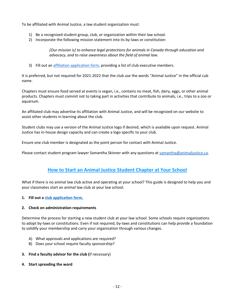To be affiliated with Animal Justice, a law student organization must:

- 1) Be a recognized student group, club, or organization within their law school.
- 2) Incorporate the following mission statement into its by-laws or constitution:

*[Our mission is] to enhance legal protections for animals in Canada through education and advocacy, and to raise awareness about the field of animal law.*

3) Fill out an [affiliation application form,](https://docs.google.com/forms/d/1FKs7VmGvGB-OlNxaFa1dMurd8rnRqQryaK50XX84c-M) providing a list of club executive members.

It is preferred, but not required for 2021-2022 that the club use the words "Animal Justice" in the official cub name.

Chapters must ensure food served at events is vegan, i.e., contains no meat, fish, dairy, eggs, or other animal products. Chapters must commit not to taking part in activities that contribute to animals, i.e., trips to a zoo or aquarium.

An affiliated club may advertise its affiliation with Animal Justice, and will be recognized on our website to assist other students in learning about the club.

Student clubs may use a version of the Animal Justice logo if desired, which is available upon request. Animal Justice has in-house design capacity and can create a logo specific to your club.

Ensure one club member is designated as the point person for contact with Animal Justice.

Please contact student program lawyer Samantha Skinner with any questions at [samantha@animaljustice.ca.](mailto:samantha@animaljustice.ca)

## **How to Start an Animal Justice Student Chapter at Your School**

What if there is no animal law club active and operating at your school? This guide is designed to help you and your classmates start an animal law club at your law school.

**1. Fill out [a club application form.](https://docs.google.com/forms/d/1FKs7VmGvGB-OlNxaFa1dMurd8rnRqQryaK50XX84c-M)**

### **2. Check on administration requirements**

Determine the process for starting a new student club at your law school. Some schools require organizations to adopt by-laws or constitutions. Even if not required, by-laws and constitutions can help provide a foundation to solidify your membership and carry your organization through various changes.

- A) What approvals and applications are required?
- B) Does your school require faculty sponsorship?
- **3. Find a faculty advisor for the club (**if necessary)
- **4. Start spreading the word**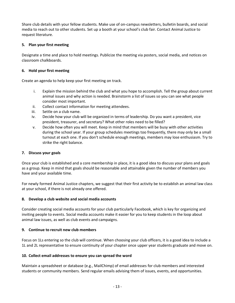Share club details with your fellow students. Make use of on-campus newsletters, bulletin boards, and social media to reach out to other students. Set up a booth at your school's club fair. Contact Animal Justice to request literature.

### **5. Plan your first meeting**

Designate a time and place to hold meetings. Publicize the meeting via posters, social media, and notices on classroom chalkboards.

### **6. Hold your first meeting**

Create an agenda to help keep your first meeting on track.

- i. Explain the mission behind the club and what you hope to accomplish. Tell the group about current animal issues and why action is needed. Brainstorm a list of issues so you can see what people consider most important.
- ii. Collect contact information for meeting attendees.
- iii. Settle on a club name.
- iv. Decide how your club will be organized in terms of leadership. Do you want a president, vice president, treasurer, and secretary? What other roles need to be filled?
- v. Decide how often you will meet. Keep in mind that members will be busy with other activities during the school year. If your group schedules meetings too frequently, there may only be a small turnout at each one. If you don't schedule enough meetings, members may lose enthusiasm. Try to strike the right balance.

### **7. Discuss your goals**

Once your club is established and a core membership in place, it is a good idea to discuss your plans and goals as a group. Keep in mind that goals should be reasonable and attainable given the number of members you have and your available time.

For newly formed Animal Justice chapters, we suggest that their first activity be to establish an animal law class at your school, if there is not already one offered.

### **8. Develop a club website and social media accounts**

Consider creating social media accounts for your club particularly Facebook, which is key for organizing and inviting people to events. Social media accounts make it easier for you to keep students in the loop about animal law issues, as well as club events and campaigns.

### **9. Continue to recruit new club members**

Focus on 1Ls entering so the club will continue. When choosing your club officers, it is a good idea to include a 1L and 2L representative to ensure continuity of your chapter once upper year students graduate and move on.

### **10. Collect email addresses to ensure you can spread the word**

Maintain a spreadsheet or database (e.g., MailChimp) of email addresses for club members and interested students or community members. Send regular emails advising them of issues, events, and opportunities.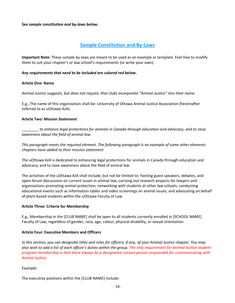#### *See sample constitution and by-laws below.*

## **Sample Constitution and By-Laws**

**Important Note:** These sample by-laws are meant to be used as an example or template. Feel free to modify them to suit your chapter's or law school's requirements (or write your own).

#### *Any requirements that need to be included are colored red below***.**

#### **Article One: Name**

*Animal Justice suggests, but does not require, that clubs incorporate "Animal Justice" into their name.*

E.g., The name of this organization shall be: University of Ottawa Animal Justice Association (hereinafter referred to as uOttawa AJA).

#### **Article Two: Mission Statement**

\_\_\_\_\_\_\_\_ *to enhance legal protections for animals in Canada through education and advocacy, and to raise awareness about the field of animal law.*

*This paragraph meets the required element. The following paragraph is an example of some other elements chapters have added to their mission statement.*

The uOttawa AJA is dedicated to enhancing legal protections for animals in Canada through education and advocacy, and to raise awareness about the field of animal law.

The activities of the uOttawa AJA shall include, but not be limited to: hosting guest speakers, debates, and open-forum discussions on current issues in animal law; carrying out research projects for lawyers and organizations promoting animal protection; networking with students at other law schools; conducting educational events such as information tables and video screenings on animal issues; and advocating on behalf of plant-based students within the uOttawa Faculty of Law.

#### **Article Three: Criteria for Membership**

E.g., Membership in the [CLUB NAME] shall be open to all students currently enrolled in [SCHOOL NAME] Faculty of Law, regardless of gender, race, age, colour, physical disability, or sexual orientation.

#### **Article Four: Executive Members and Officers**

*In this section, you can designate titles and roles for officers, if any, of your Animal Justice chapter. You may also wish to add a list of each officer's duties within the group. The only requirement for Animal Justice student program membership is that there always be a designated contact person responsible for communicating with Animal Justice.*

#### Example:

The executive positions within the [CLUB NAME] include: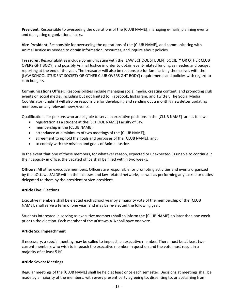**President**: Responsible to overseeing the operations of the [CLUB NAME], managing e-mails, planning events and delegating organizational tasks.

**Vice-President**: Responsible for overseeing the operations of the [CLUB NAME], and communicating with Animal Justice as needed to obtain information, resources, and inquire about policies.

**Treasurer**: Responsibilities include communicating with the [LAW SCHOOL STUDENT SOCIETY OR OTHER CLUB OVERSIGHT BODY] and possibly Animal Justice in order to obtain event-related funding as needed and budget reporting at the end of the year. The treasurer will also be responsible for familiarizing themselves with the [LAW SCHOOL STUDENT SOCIETY OR OTHER CLUB OVERSIGHT BODY] requirements and policies with regard to club budgets.

**Communications Officer:** Responsibilities include managing social media, creating content, and promoting club events on social media, including but not limited to: Facebook, Instagram, and Twitter. The Social Media Coordinator (English) will also be responsible for developing and sending out a monthly newsletter updating members on any relevant news/events.

Qualifications for persons who are eligible to serve in executive positions in the [CLUB NAME] are as follows:

- registration as a student at the [SCHOOL NAME] Faculty of Law;
- membership in the [CLUB NAME];
- attendance at a minimum of two meetings of the [CLUB NAME];
- agreement to uphold the goals and purposes of the [CLUB NAME], and;
- to comply with the mission and goals of Animal Justice.

In the event that one of these members, for whatever reason, expected or unexpected, is unable to continue in their capacity in office, the vacated office shall be filled within two weeks.

**Officers:** All other executive members. Officers are responsible for promoting activities and events organized by the uOttawa SALDF within their classes and law-related networks, as well as performing any tasked or duties delegated to them by the president or vice-president.

#### **Article Five: Elections**

Executive members shall be elected each school year by a majority vote of the membership of the [CLUB NAME], shall serve a term of one year, and may be re-elected the following year.

Students interested in serving as executive members shall so inform the [CLUB NAME] no later than one week prior to the election. Each member of the uOttawa AJA shall have one vote.

#### **Article Six: Impeachment**

If necessary, a special meeting may be called to impeach an executive member. There must be at least two current members who wish to impeach the executive member in question and the vote must result in a majority of at least 51%.

#### **Article Seven: Meetings**

Regular meetings of the [CLUB NAME] shall be held at least once each semester. Decisions at meetings shall be made by a majority of the members, with every present party agreeing to, dissenting to, or abstaining from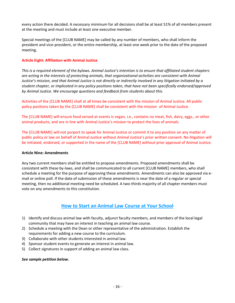every action there decided. A necessary minimum for all decisions shall be at least 51% of all members present at the meeting and must include at least one executive member.

Special meetings of the [CLUB NAME] may be called by any number of members, who shall inform the president and vice-president, or the entire membership, at least one week prior to the date of the proposed meeting.

### **Article Eight: Affiliation with Animal Justice**

*This is a required element of the bylaws. Animal Justice's intention is to ensure that affiliated student chapters are acting in the interests of protecting animals, that organizational activities are consistent with Animal Justice's mission, and that Animal Justice is not directly or indirectly involved in any litigation initiated by a student chapter, or implicated in any policy positions taken, that have not been specifically endorsed/approved by Animal Justice. We encourage questions and feedback from students about this.*

Activities of the [CLUB NAME] shall at all times be consistent with the mission of Animal Justice. All public policy positions taken by the [CLUB NAME] shall be consistent with the mission of Animal Justice.

The [CLUB NAME] will ensure food served at events is vegan, i.e., contains no meat, fish, dairy, eggs., or other animal products, and are in line with Animal Justice's mission to protect the lives of animals.

The [CLUB NAME] will not purport to speak for Animal Justice or commit it to any position on any matter of public policy or law on behalf of Animal Justice without Animal Justice's prior written consent. No litigation will be initiated, endorsed, or supported in the name of the [CLUB NAME] without prior approval of Animal Justice.

#### **Article Nine: Amendments**

Any two current members shall be entitled to propose amendments. Proposed amendments shall be consistent with these by-laws, and shall be communicated to all current [CLUB NAME] members, who shall schedule a meeting for the purpose of approving these amendments. Amendments can also be approved via email or online poll. If the date of submission of these amendments is near the date of a regular or special meeting, then no additional meeting need be scheduled. A two-thirds majority of all chapter members must vote on any amendments to this constitution.

### **How to Start an Animal Law Course at Your School**

- 1) Identify and discuss animal law with faculty, adjunct faculty members, and members of the local legal community that may have an interest in teaching an animal law course.
- 2) Schedule a meeting with the Dean or other representative of the administration. Establish the requirements for adding a new course to the curriculum.
- 3) Collaborate with other students interested in animal law.
- 4) Sponsor student events to generate an interest in animal law.
- 5) Collect signatures in support of adding an animal law class.

#### *See sample petition below.*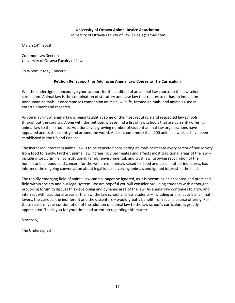#### **University of Ottawa Animal Justice Association**

University of Ottawa Faculty of Law | uoaja@gmail.com

March 14<sup>th</sup>, 2018

Common Law Section University of Ottawa Faculty of Law

To Whom It May Concern:

#### **Petition Re: Support for Adding an Animal Law Course to The Curriculum**

We, the undersigned, encourage your support for the addition of an animal law course to the law school curriculum. Animal law is the combination of statutory and case law that relates to or has an impact on nonhuman animals. It encompasses companion animals, wildlife, farmed animals, and animals used in entertainment and research.

As you may know, animal law is being taught at some of the most reputable and respected law schools throughout the country. Along with this petition, please find a list of law schools that are currently offering animal law to their students. Additionally, a growing number of student animal law organizations have appeared across the country and around the world. At last count, more than 200 animal law clubs have been established in the US and Canada.

The increased interest in animal law is to be expected considering animals permeate every sector of our society from food to family. Further, animal law increasingly permeates and affects most traditional areas of the law – including tort, criminal, constitutional, family, environmental, and trust law. Growing recognition of the human-animal bond, and concern for the welfare of animals raised for food and used in other industries, has informed the ongoing conversation about legal issues involving animals and ignited interest in the field.

The rapidly emerging field of animal law can no longer be ignored, as it is becoming an accepted and practiced field within society and our legal system. We are hopeful you will consider providing students with a thoughtprovoking forum to discuss this developing and dynamic area of the law. As animal law continues to grow and intersect with traditional areas of the law, the law school and law students – including animal activists, animal lovers, the curious, the indifferent and the dissenters – would greatly benefit from such a course offering. For these reasons, your consideration of the addition of animal law to the law school's curriculum is greatly appreciated. Thank you for your time and attention regarding this matter.

Sincerely,

The Undersigned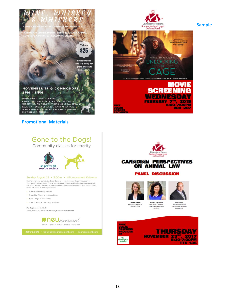

**Promotional Materials**



Community classes for charity



#### Sunday August 28 · 3:00PM · NEUmovement Kelowna

NeuMovement has gone to the Dogs! Come get your downward dog on in support of<br>Thompson Rivers University Animal Law Advocacy (TALA) and local rescue organization Sit<br>Pretty Pit! Neu will be running a series of community cl raised in support of both organizations

- · 3 pm: Barre w Kelly Newby
- · 3 pm: Mat Pilates w Kristene Bene
- · 4 pm Yoga w Tara Greer
- . 5 pm Drinks at Company to follow!

Pre-Register on MindBody Any questions can be directed to Kelly Newby at 250.718.7233









#### **CANADIAN PERSPECTIVES** ON ANIMAL LAW

#### **PANEL DISCUSSION**



**Camille Labchuk** Executive Director of<br>Animal Justice



Federation of Humane



Marc Quinn<br>Founding Partner of<br>Quinn Thiele Mineault<br>Grodzki LLP



**Sample**